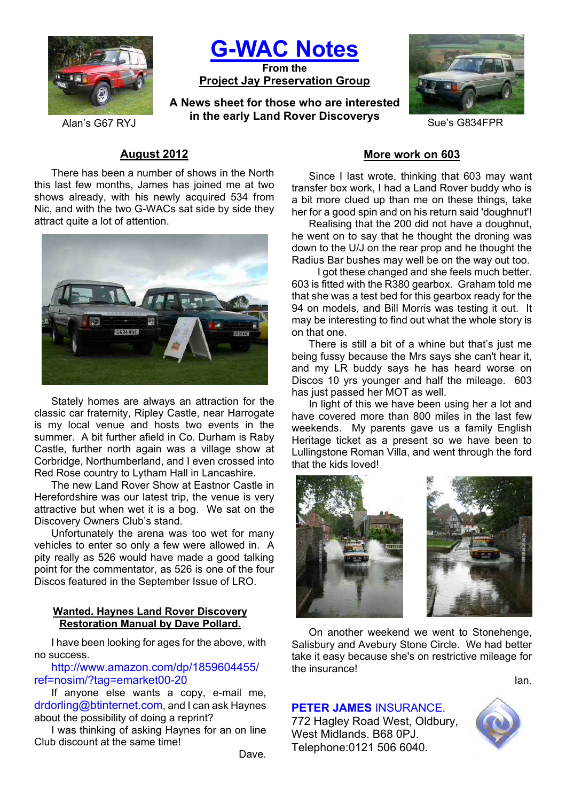

**G-WAC Notes From the**

**Project Jay Preservation Group**

**A News sheet for those who are interested Alan's G67 RYJ in the early Land Rover Discoverys** Sue's G834FPR



# **August 2012**

There has been a number of shows in the North this last few months, James has joined me at two shows already, with his newly acquired 534 from Nic, and with the two G-WACs sat side by side they attract quite a lot of attention.



Stately homes are always an attraction for the classic car fraternity, Ripley Castle, near Harrogate is my local venue and hosts two events in the summer. A bit further afield in Co. Durham is Raby Castle, further north again was a village show at Corbridge, Northumberland, and I even crossed into Red Rose country to Lytham Hall in Lancashire.

The new Land Rover Show at Eastnor Castle in Herefordshire was our latest trip, the venue is very attractive but when wet it is a bog. We sat on the Discovery Owners Club's stand.

Unfortunately the arena was too wet for many vehicles to enter so only a few were allowed in. A pity really as 526 would have made a good talking point for the commentator, as 526 is one of the four Discos featured in the September Issue of LRO.

### **Wanted. Haynes Land Rover Discovery Restoration Manual by Dave Pollard.**

I have been looking for ages for the above, with no success.

http://www.amazon.com/dp/1859604455/ ref=nosim/?tag=emarket00-20

If anyone else wants a copy, e-mail me, drdorling@btinternet.com, and I can ask Haynes about the possibility of doing a reprint?

I was thinking of asking Haynes for an on line Club discount at the same time!

Dave.

# **More work on 603**

Since I last wrote, thinking that 603 may want transfer box work, I had a Land Rover buddy who is a bit more clued up than me on these things, take her for a good spin and on his return said 'doughnut'!

Realising that the 200 did not have a doughnut, he went on to say that he thought the droning was down to the U/J on the rear prop and he thought the Radius Bar bushes may well be on the way out too.

I got these changed and she feels much better. 603 is fitted with the R380 gearbox. Graham told me that she was a test bed for this gearbox ready for the 94 on models, and Bill Morris was testing it out. It may be interesting to find out what the whole story is on that one.

There is still a bit of a whine but that's just me being fussy because the Mrs says she can't hear it, and my LR buddy says he has heard worse on Discos 10 yrs younger and half the mileage. 603 has just passed her MOT as well.

In light of this we have been using her a lot and have covered more than 800 miles in the last few weekends. My parents gave us a family English Heritage ticket as a present so we have been to Lullingstone Roman Villa, and went through the ford that the kids loved!



On another weekend we went to Stonehenge, Salisbury and Avebury Stone Circle. We had better take it easy because she's on restrictive mileage for the insurance!

# **PETER JAMES** INSURANCE.

772 Hagley Road West, Oldbury, West Midlands. B68 0PJ. Telephone:0121 506 6040.



Ian.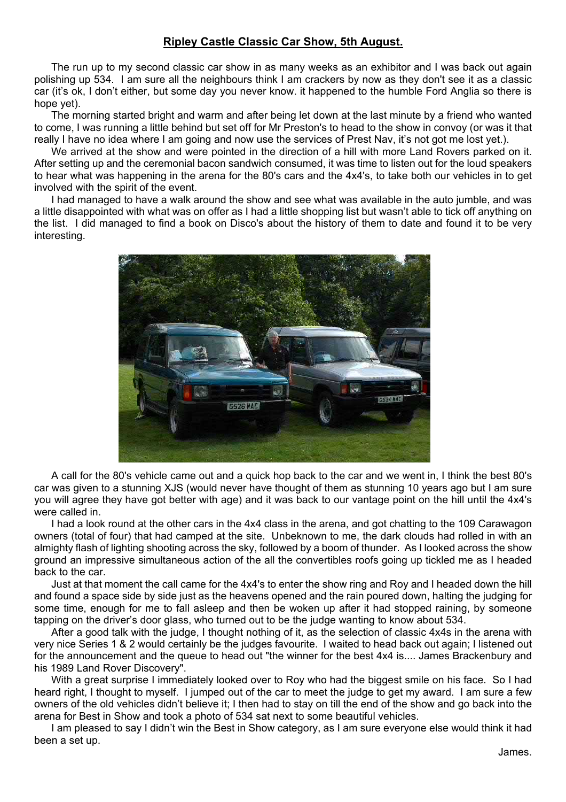# **Ripley Castle Classic Car Show, 5th August.**

The run up to my second classic car show in as many weeks as an exhibitor and I was back out again polishing up 534. I am sure all the neighbours think I am crackers by now as they don't see it as a classic car (it's ok, I don't either, but some day you never know. it happened to the humble Ford Anglia so there is hope yet).

The morning started bright and warm and after being let down at the last minute by a friend who wanted to come, I was running a little behind but set off for Mr Preston's to head to the show in convoy (or was it that really I have no idea where I am going and now use the services of Prest Nav, it's not got me lost yet.).

We arrived at the show and were pointed in the direction of a hill with more Land Rovers parked on it. After setting up and the ceremonial bacon sandwich consumed, it was time to listen out for the loud speakers to hear what was happening in the arena for the 80's cars and the 4x4's, to take both our vehicles in to get involved with the spirit of the event.

I had managed to have a walk around the show and see what was available in the auto jumble, and was a little disappointed with what was on offer as I had a little shopping list but wasn't able to tick off anything on the list. I did managed to find a book on Disco's about the history of them to date and found it to be very interesting.



A call for the 80's vehicle came out and a quick hop back to the car and we went in, I think the best 80's car was given to a stunning XJS (would never have thought of them as stunning 10 years ago but I am sure you will agree they have got better with age) and it was back to our vantage point on the hill until the 4x4's were called in.

I had a look round at the other cars in the 4x4 class in the arena, and got chatting to the 109 Carawagon owners (total of four) that had camped at the site. Unbeknown to me, the dark clouds had rolled in with an almighty flash of lighting shooting across the sky, followed by a boom of thunder. As I looked across the show ground an impressive simultaneous action of the all the convertibles roofs going up tickled me as I headed back to the car.

Just at that moment the call came for the 4x4's to enter the show ring and Roy and I headed down the hill and found a space side by side just as the heavens opened and the rain poured down, halting the judging for some time, enough for me to fall asleep and then be woken up after it had stopped raining, by someone tapping on the driver's door glass, who turned out to be the judge wanting to know about 534.

After a good talk with the judge, I thought nothing of it, as the selection of classic 4x4s in the arena with very nice Series 1 & 2 would certainly be the judges favourite. I waited to head back out again; I listened out for the announcement and the queue to head out "the winner for the best 4x4 is.... James Brackenbury and his 1989 Land Rover Discovery".

With a great surprise I immediately looked over to Roy who had the biggest smile on his face. So I had heard right, I thought to myself. I jumped out of the car to meet the judge to get my award. I am sure a few owners of the old vehicles didn't believe it; I then had to stay on till the end of the show and go back into the arena for Best in Show and took a photo of 534 sat next to some beautiful vehicles.

I am pleased to say I didn't win the Best in Show category, as I am sure everyone else would think it had been a set up.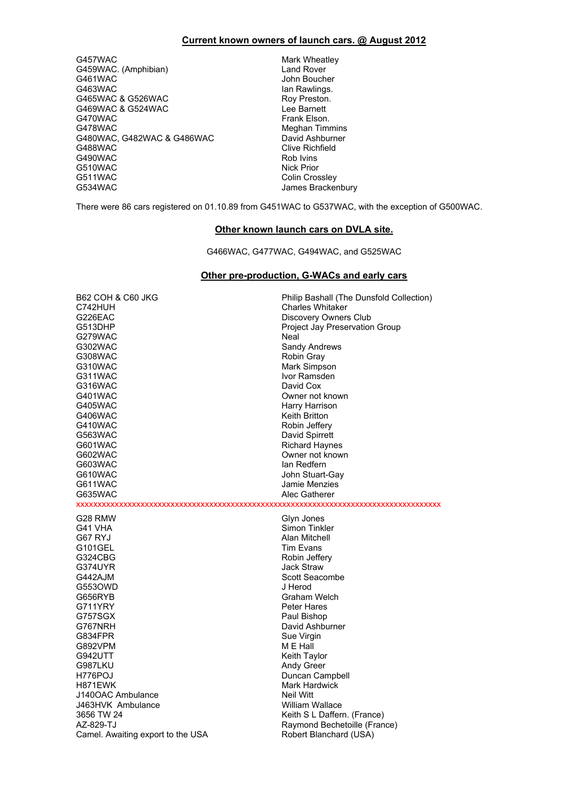#### **Current known owners of launch cars. @ August 2012**

G457WAC Mark Wheatley<br>G459WAC. (Amphibian) G459WAC. (Amphibian) G459WAC. (Amphibian)<br>G461WAC G461WAC John Boucher<br>G463WAC John Boucher<br>Jan Rawlings. G465WAC & G526WAC <br>G469WAC & G524WAC **Roy Preston.** Lee Barnett G469WAC & G524WAC<br>G470WAC G478WAC<br>
G480WAC, G482WAC & G486WAC<br>
David Ashburner G480WAC, G482WAC & G486WAC<br>G488WAC G490WAC Rob Ivins G510WAC Nick Prior<br>G511WAC Colin Cros G511WAC Colin Crossley

lan Rawlings.<br>Roy Preston. Frank Elson. **Clive Richfield** James Brackenbury

There were 86 cars registered on 01.10.89 from G451WAC to G537WAC, with the exception of G500WAC.

#### **Other known launch cars on DVLA site.**

G466WAC, G477WAC, G494WAC, and G525WAC

#### **Other pre-production, G-WACs and early cars**

| <b>B62 COH &amp; C60 JKG</b>      | Philip Bashall (The Dunsfold Collection) |
|-----------------------------------|------------------------------------------|
| C742HUH                           | <b>Charles Whitaker</b>                  |
| G226EAC                           | Discovery Owners Club                    |
| G513DHP                           | Project Jay Preservation Group           |
| G279WAC                           | Neal                                     |
| G302WAC                           | Sandy Andrews                            |
| G308WAC                           | Robin Gray                               |
| G310WAC                           | Mark Simpson                             |
| G311WAC                           | Ivor Ramsden                             |
| G316WAC                           | David Cox                                |
| G401WAC                           | Owner not known                          |
| G405WAC                           | Harry Harrison                           |
| G406WAC                           | <b>Keith Britton</b>                     |
| G410WAC                           | Robin Jeffery                            |
| G563WAC                           | David Spirrett                           |
| G601WAC                           | <b>Richard Haynes</b>                    |
| G602WAC                           | Owner not known                          |
| G603WAC                           | lan Redfern                              |
| G610WAC                           | John Stuart-Gay                          |
| G611WAC                           | Jamie Menzies                            |
| G635WAC                           | Alec Gatherer                            |
|                                   |                                          |
| G28 RMW                           | Glyn Jones                               |
| G41 VHA                           | Simon Tinkler                            |
| G67 RYJ                           | Alan Mitchell                            |
| G101GEL                           | <b>Tim Evans</b>                         |
| G324CBG                           | Robin Jeffery                            |
| G374UYR                           | <b>Jack Straw</b>                        |
| G442AJM                           | Scott Seacombe                           |
| G5530WD                           | J Herod                                  |
| G656RYB                           | Graham Welch                             |
| G711YRY                           | Peter Hares                              |
| G757SGX                           | Paul Bishop                              |
| G767NRH                           | David Ashburner                          |
| G834FPR                           | Sue Virgin                               |
| G892VPM                           | M E Hall                                 |
| G942UTT                           | Keith Taylor                             |
| G987LKU                           | Andy Greer                               |
| H776POJ                           | Duncan Campbell                          |
| H871EWK                           | <b>Mark Hardwick</b>                     |
| J140OAC Ambulance                 | Neil Witt                                |
| J463HVK Ambulance                 | William Wallace                          |
| 3656 TW 24                        | Keith S L Daffern. (France)              |
| AZ-829-TJ                         | Raymond Bechetoille (France)             |
| Camel. Awaiting export to the USA | Robert Blanchard (USA)                   |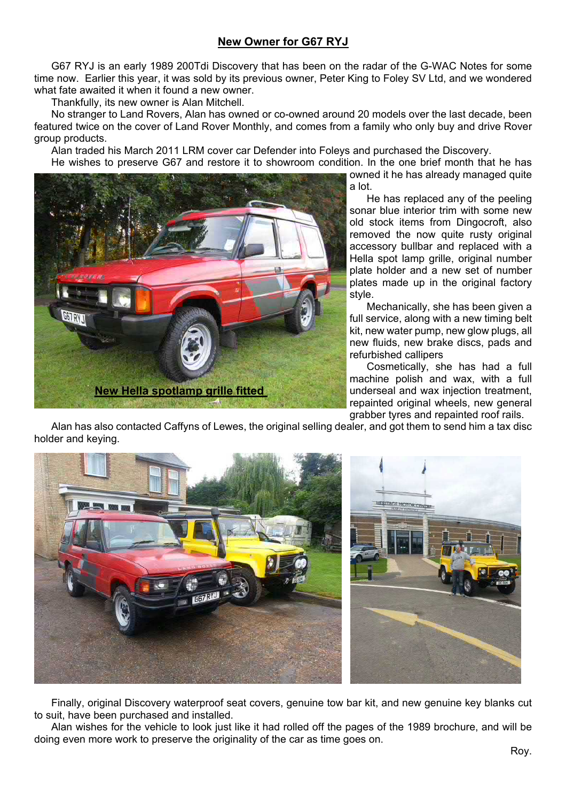# **New Owner for G67 RYJ**

G67 RYJ is an early 1989 200Tdi Discovery that has been on the radar of the G-WAC Notes for some time now. Earlier this year, it was sold by its previous owner, Peter King to Foley SV Ltd, and we wondered what fate awaited it when it found a new owner.

Thankfully, its new owner is Alan Mitchell.

No stranger to Land Rovers, Alan has owned or co-owned around 20 models over the last decade, been featured twice on the cover of Land Rover Monthly, and comes from a family who only buy and drive Rover group products.

Alan traded his March 2011 LRM cover car Defender into Foleys and purchased the Discovery.

He wishes to preserve G67 and restore it to showroom condition. In the one brief month that he has



owned it he has already managed quite

a lot.

He has replaced any of the peeling sonar blue interior trim with some new old stock items from Dingocroft, also removed the now quite rusty original accessory bullbar and replaced with a Hella spot lamp grille, original number plate holder and a new set of number plates made up in the original factory style.

Mechanically, she has been given a full service, along with a new timing belt kit, new water pump, new glow plugs, all new fluids, new brake discs, pads and refurbished callipers

Cosmetically, she has had a full machine polish and wax, with a full underseal and wax injection treatment, repainted original wheels, new general grabber tyres and repainted roof rails.

Alan has also contacted Caffyns of Lewes, the original selling dealer, and got them to send him a tax disc holder and keying.



Finally, original Discovery waterproof seat covers, genuine tow bar kit, and new genuine key blanks cut to suit, have been purchased and installed.

Alan wishes for the vehicle to look just like it had rolled off the pages of the 1989 brochure, and will be doing even more work to preserve the originality of the car as time goes on.